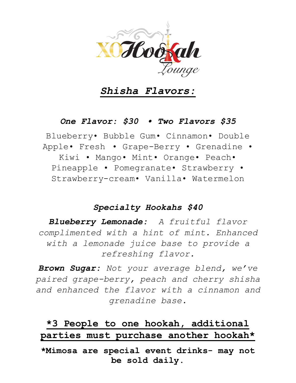

## *Shisha Flavors:*

### *One Flavor: \$30 • Two Flavors \$35*

Blueberry• Bubble Gum• Cinnamon• Double Apple• Fresh • Grape-Berry • Grenadine • Kiwi • Mango• Mint• Orange• Peach• Pineapple • Pomegranate• Strawberry • Strawberry-cream• Vanilla• Watermelon

#### *Specialty Hookahs \$40*

*Blueberry Lemonade: A fruitful flavor complimented with a hint of mint. Enhanced with a lemonade juice base to provide a refreshing flavor.* 

*Brown Sugar: Not your average blend, we've paired grape-berry, peach and cherry shisha and enhanced the flavor with a cinnamon and grenadine base.* 

# **\*3 People to one hookah, additional parties must purchase another hookah\***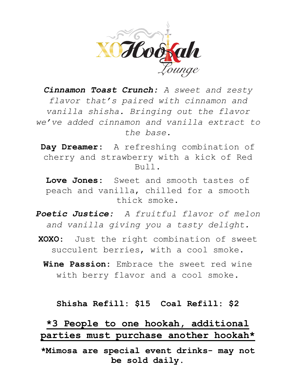

*Cinnamon Toast Crunch: A sweet and zesty flavor that's paired with cinnamon and vanilla shisha. Bringing out the flavor we've added cinnamon and vanilla extract to the base.*

**Day Dreamer:** A refreshing combination of cherry and strawberry with a kick of Red  $B1111$ .

**Love Jones:** Sweet and smooth tastes of peach and vanilla, chilled for a smooth thick smoke.

- *Poetic Justice: A fruitful flavor of melon and vanilla giving you a tasty delight.*
- **XOXO:** Just the right combination of sweet succulent berries, with a cool smoke.
	- **Wine Passion:** Embrace the sweet red wine with berry flavor and a cool smoke.

#### **Shisha Refill: \$15 Coal Refill: \$2**

**\*3 People to one hookah, additional parties must purchase another hookah\***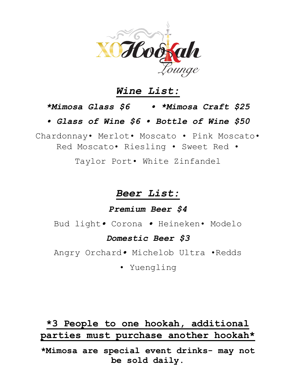

## *Wine List:*

### *\*Mimosa Glass \$6 • \*Mimosa Craft \$25*

*• Glass of Wine \$6 • Bottle of Wine \$50*

Chardonnay• Merlot• Moscato • Pink Moscato• Red Moscato• Riesling • Sweet Red •

Taylor Port• White Zinfandel

# *Beer List:*

### *Premium Beer \$4*

Bud light*•* Corona *•* Heineken• Modelo

#### *Domestic Beer \$3*

Angry Orchard*•* Michelob Ultra •Redds

• Yuengling

# **\*3 People to one hookah, additional parties must purchase another hookah\***